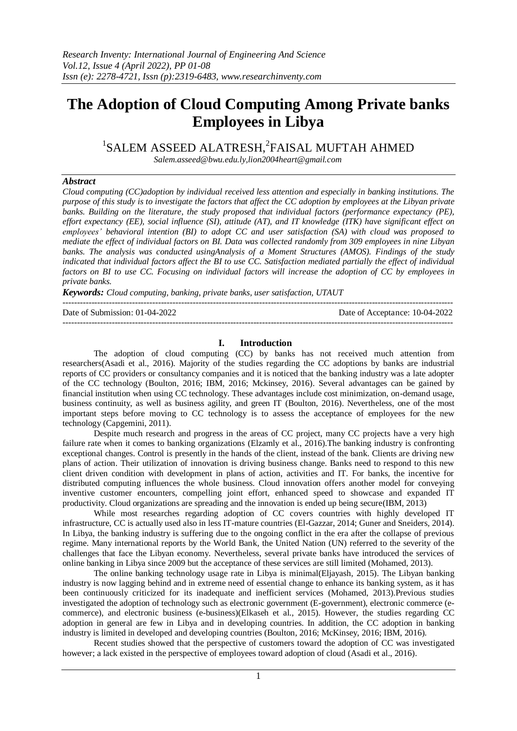# **The Adoption of Cloud Computing Among Private banks Employees in Libya**

<sup>1</sup>SALEM ASSEED ALATRESH,<sup>2</sup>FAISAL MUFTAH AHMED

 *Salem.asseed@bwu.edu.ly,lion2004heart@gmail.com*

# *Abstract*

*Cloud computing (CC)adoption by individual received less attention and especially in banking institutions. The purpose of this study is to investigate the factors that affect the CC adoption by employees at the Libyan private banks. Building on the literature, the study proposed that individual factors (performance expectancy (PE), effort expectancy (EE), social influence (SI), attitude (AT), and IT knowledge (ITK) have significant effect on employees' behavioral intention (BI) to adopt CC and user satisfaction (SA) with cloud was proposed to mediate the effect of individual factors on BI. Data was collected randomly from 309 employees in nine Libyan banks. The analysis was conducted usingAnalysis of a Moment Structures (AMOS). Findings of the study indicated that individual factors affect the BI to use CC. Satisfaction mediated partially the effect of individual factors on BI to use CC. Focusing on individual factors will increase the adoption of CC by employees in private banks.* 

*Keywords: Cloud computing, banking, private banks, user satisfaction, UTAUT* 

---------------------------------------------------------------------------------------------------------------------------------------

Date of Submission: 01-04-2022 Date of Acceptance: 10-04-2022 ---------------------------------------------------------------------------------------------------------------------------------------

# **I. Introduction**

The adoption of cloud computing (CC) by banks has not received much attention from researchers(Asadi et al., 2016). Majority of the studies regarding the CC adoptions by banks are industrial reports of CC providers or consultancy companies and it is noticed that the banking industry was a late adopter of the CC technology (Boulton, 2016; IBM, 2016; Mckinsey, 2016). Several advantages can be gained by financial institution when using CC technology. These advantages include cost minimization, on-demand usage, business continuity, as well as business agility, and green IT (Boulton, 2016). Nevertheless, one of the most important steps before moving to CC technology is to assess the acceptance of employees for the new technology (Capgemini, 2011).

Despite much research and progress in the areas of CC project, many CC projects have a very high failure rate when it comes to banking organizations (Elzamly et al., 2016).The banking industry is confronting exceptional changes. Control is presently in the hands of the client, instead of the bank. Clients are driving new plans of action. Their utilization of innovation is driving business change. Banks need to respond to this new client driven condition with development in plans of action, activities and IT. For banks, the incentive for distributed computing influences the whole business. Cloud innovation offers another model for conveying inventive customer encounters, compelling joint effort, enhanced speed to showcase and expanded IT productivity. Cloud organizations are spreading and the innovation is ended up being secure(IBM, 2013)

While most researches regarding adoption of CC covers countries with highly developed IT infrastructure, CC is actually used also in less IT-mature countries (El-Gazzar, 2014; Guner and Sneiders, 2014). In Libya, the banking industry is suffering due to the ongoing conflict in the era after the collapse of previous regime. Many international reports by the World Bank, the United Nation (UN) referred to the severity of the challenges that face the Libyan economy. Nevertheless, several private banks have introduced the services of online banking in Libya since 2009 but the acceptance of these services are still limited (Mohamed, 2013).

The online banking technology usage rate in Libya is minimal(Eljayash, 2015). The Libyan banking industry is now lagging behind and in extreme need of essential change to enhance its banking system, as it has been continuously criticized for its inadequate and inefficient services (Mohamed, 2013).Previous studies investigated the adoption of technology such as electronic government (E-government), electronic commerce (ecommerce), and electronic business (e-business)(Elkaseh et al., 2015). However, the studies regarding CC adoption in general are few in Libya and in developing countries. In addition, the CC adoption in banking industry is limited in developed and developing countries (Boulton, 2016; McKinsey, 2016; IBM, 2016).

Recent studies showed that the perspective of customers toward the adoption of CC was investigated however; a lack existed in the perspective of employees toward adoption of cloud (Asadi et al., 2016).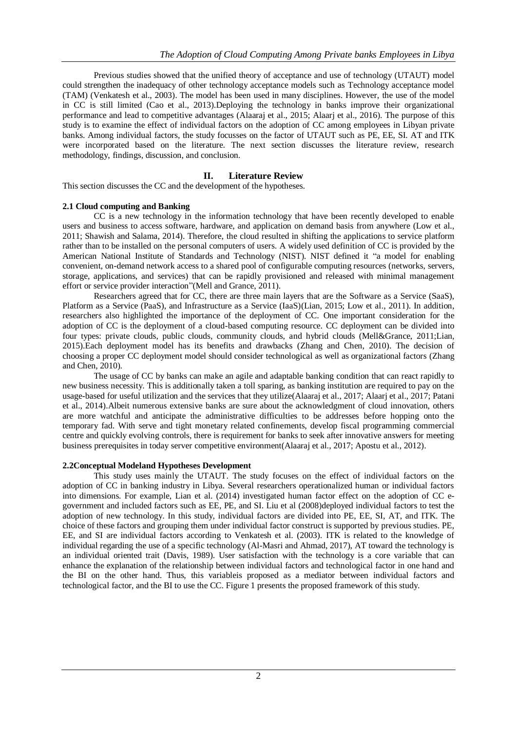Previous studies showed that the unified theory of acceptance and use of technology (UTAUT) model could strengthen the inadequacy of other technology acceptance models such as Technology acceptance model (TAM) (Venkatesh et al., 2003). The model has been used in many disciplines. However, the use of the model in CC is still limited (Cao et al., 2013).Deploying the technology in banks improve their organizational performance and lead to competitive advantages (Alaaraj et al., 2015; Alaarj et al., 2016). The purpose of this study is to examine the effect of individual factors on the adoption of CC among employees in Libyan private banks. Among individual factors, the study focusses on the factor of UTAUT such as PE, EE, SI. AT and ITK were incorporated based on the literature. The next section discusses the literature review, research methodology, findings, discussion, and conclusion.

# **II. Literature Review**

This section discusses the CC and the development of the hypotheses.

#### **2.1 Cloud computing and Banking**

CC is a new technology in the information technology that have been recently developed to enable users and business to access software, hardware, and application on demand basis from anywhere (Low et al., 2011; Shawish and Salama, 2014). Therefore, the cloud resulted in shifting the applications to service platform rather than to be installed on the personal computers of users. A widely used definition of CC is provided by the American National Institute of Standards and Technology (NIST). NIST defined it "a model for enabling convenient, on-demand network access to a shared pool of configurable computing resources (networks, servers, storage, applications, and services) that can be rapidly provisioned and released with minimal management effort or service provider interaction"(Mell and Grance, 2011).

Researchers agreed that for CC, there are three main layers that are the Software as a Service (SaaS), Platform as a Service (PaaS), and Infrastructure as a Service (IaaS)(Lian, 2015; Low et al., 2011). In addition, researchers also highlighted the importance of the deployment of CC. One important consideration for the adoption of CC is the deployment of a cloud-based computing resource. CC deployment can be divided into four types: private clouds, public clouds, community clouds, and hybrid clouds (Mell&Grance, 2011;Lian, 2015).Each deployment model has its benefits and drawbacks (Zhang and Chen, 2010). The decision of choosing a proper CC deployment model should consider technological as well as organizational factors (Zhang and Chen, 2010).

The usage of CC by banks can make an agile and adaptable banking condition that can react rapidly to new business necessity. This is additionally taken a toll sparing, as banking institution are required to pay on the usage-based for useful utilization and the services that they utilize(Alaaraj et al., 2017; Alaarj et al., 2017; Patani et al., 2014).Albeit numerous extensive banks are sure about the acknowledgment of cloud innovation, others are more watchful and anticipate the administrative difficulties to be addresses before hopping onto the temporary fad. With serve and tight monetary related confinements, develop fiscal programming commercial centre and quickly evolving controls, there is requirement for banks to seek after innovative answers for meeting business prerequisites in today server competitive environment(Alaaraj et al., 2017; Apostu et al., 2012).

#### **2.2Conceptual Modeland Hypotheses Development**

This study uses mainly the UTAUT. The study focuses on the effect of individual factors on the adoption of CC in banking industry in Libya. Several researchers operationalized human or individual factors into dimensions. For example, Lian et al. (2014) investigated human factor effect on the adoption of CC egovernment and included factors such as EE, PE, and SI. Liu et al (2008)deployed individual factors to test the adoption of new technology. In this study, individual factors are divided into PE, EE, SI, AT, and ITK. The choice of these factors and grouping them under individual factor construct is supported by previous studies. PE, EE, and SI are individual factors according to Venkatesh et al. (2003). ITK is related to the knowledge of individual regarding the use of a specific technology (Al-Masri and Ahmad, 2017), AT toward the technology is an individual oriented trait (Davis, 1989). User satisfaction with the technology is a core variable that can enhance the explanation of the relationship between individual factors and technological factor in one hand and the BI on the other hand. Thus, this variableis proposed as a mediator between individual factors and technological factor, and the BI to use the CC. Figure 1 presents the proposed framework of this study.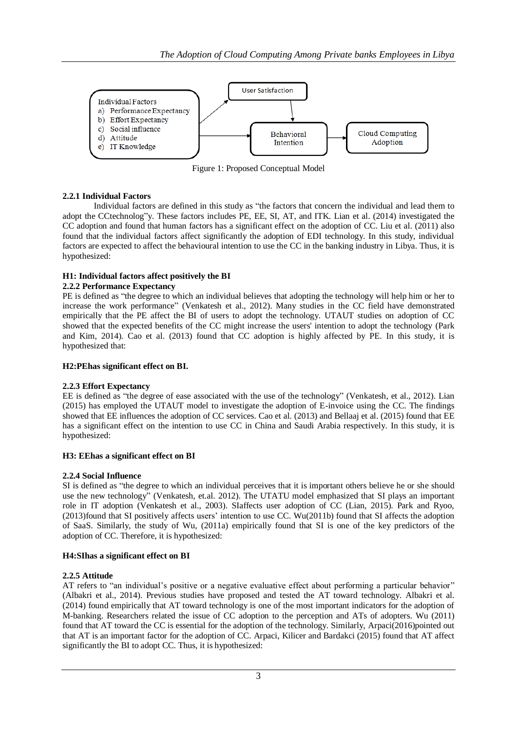

Figure 1: Proposed Conceptual Model

# **2.2.1 Individual Factors**

Individual factors are defined in this study as "the factors that concern the individual and lead them to adopt the CCtechnolog"y. These factors includes PE, EE, SI, AT, and ITK. Lian et al. (2014) investigated the CC adoption and found that human factors has a significant effect on the adoption of CC. Liu et al. (2011) also found that the individual factors affect significantly the adoption of EDI technology. In this study, individual factors are expected to affect the behavioural intention to use the CC in the banking industry in Libya. Thus, it is hypothesized:

# **H1: Individual factors affect positively the BI**

# **2.2.2 Performance Expectancy**

PE is defined as "the degree to which an individual believes that adopting the technology will help him or her to increase the work performance" (Venkatesh et al., 2012). Many studies in the CC field have demonstrated empirically that the PE affect the BI of users to adopt the technology. UTAUT studies on adoption of CC showed that the expected benefits of the CC might increase the users' intention to adopt the technology (Park and Kim, 2014). Cao et al. (2013) found that CC adoption is highly affected by PE. In this study, it is hypothesized that:

## **H2:PEhas significant effect on BI.**

## **2.2.3 Effort Expectancy**

EE is defined as "the degree of ease associated with the use of the technology" (Venkatesh, et al., 2012). Lian (2015) has employed the UTAUT model to investigate the adoption of E-invoice using the CC. The findings showed that EE influences the adoption of CC services. Cao et al. (2013) and Bellaaj et al. (2015) found that EE has a significant effect on the intention to use CC in China and Saudi Arabia respectively. In this study, it is hypothesized:

## **H3: EEhas a significant effect on BI**

## **2.2.4 Social Influence**

SI is defined as "the degree to which an individual perceives that it is important others believe he or she should use the new technology" (Venkatesh, et.al. 2012). The UTATU model emphasized that SI plays an important role in IT adoption (Venkatesh et al., 2003). SIaffects user adoption of CC (Lian, 2015). Park and Ryoo, (2013)found that SI positively affects users' intention to use CC. Wu(2011b) found that SI affects the adoption of SaaS. Similarly, the study of Wu, (2011a) empirically found that SI is one of the key predictors of the adoption of CC. Therefore, it is hypothesized:

# **H4:SIhas a significant effect on BI**

## **2.2.5 Attitude**

AT refers to "an individual's positive or a negative evaluative effect about performing a particular behavior" (Albakri et al., 2014). Previous studies have proposed and tested the AT toward technology. Albakri et al. (2014) found empirically that AT toward technology is one of the most important indicators for the adoption of M-banking. Researchers related the issue of CC adoption to the perception and ATs of adopters. Wu (2011) found that AT toward the CC is essential for the adoption of the technology. Similarly, Arpaci(2016)pointed out that AT is an important factor for the adoption of CC. Arpaci, Kilicer and Bardakci (2015) found that AT affect significantly the BI to adopt CC. Thus, it is hypothesized: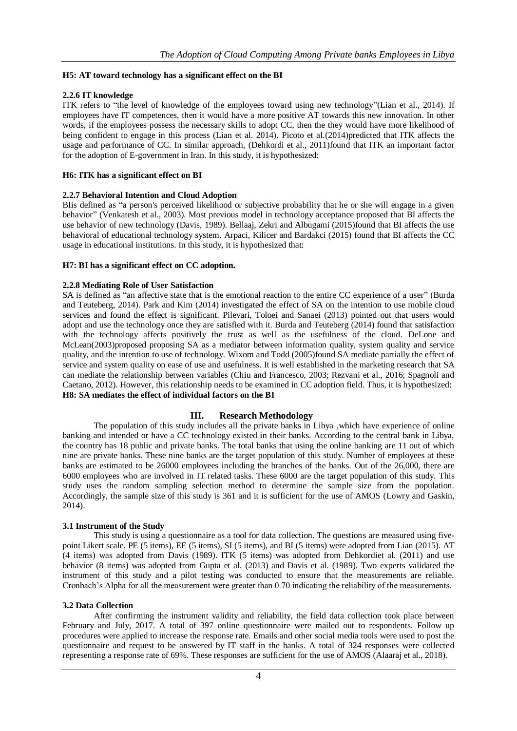# **H5: AT toward technology has a significant effect on the BI**

# **2.2.6 IT knowledge**

ITK refers to "the level of knowledge of the employees toward using new technology"(Lian et al., 2014). If employees have IT competences, then it would have a more positive AT towards this new innovation. In other words, if the employees possess the necessary skills to adopt CC, then the they would have more likelihood of being confident to engage in this process (Lian et al. 2014). Picoto et al.(2014)predicted that ITK affects the usage and performance of CC. In similar approach, (Dehkordi et al., 2011)found that ITK an important factor for the adoption of E-government in Iran. In this study, it is hypothesized:

# **H6: ITK has a significant effect on BI**

# **2.2.7 Behavioral Intention and Cloud Adoption**

BIis defined as "a person's perceived likelihood or subjective probability that he or she will engage in a given behavior" (Venkatesh et al., 2003). Most previous model in technology acceptance proposed that BI affects the use behavior of new technology (Davis, 1989). Bellaaj, Zekri and Albugami (2015)found that BI affects the use behavioral of educational technology system. Arpaci, Kilicer and Bardakci (2015) found that BI affects the CC usage in educational institutions. In this study, it is hypothesized that:

# **H7: BI has a significant effect on CC adoption.**

# **2.2.8 Mediating Role of User Satisfaction**

SA is defined as "an affective state that is the emotional reaction to the entire CC experience of a user" (Burda and Teuteberg, 2014). Park and Kim (2014) investigated the effect of SA on the intention to use mobile cloud services and found the effect is significant. Pilevari, Toloei and Sanaei (2013) pointed out that users would adopt and use the technology once they are satisfied with it. Burda and Teuteberg (2014) found that satisfaction with the technology affects positively the trust as well as the usefulness of the cloud. DeLone and McLean(2003)proposed proposing SA as a mediator between information quality, system quality and service quality, and the intention to use of technology. Wixom and Todd (2005)found SA mediate partially the effect of service and system quality on ease of use and usefulness. It is well established in the marketing research that SA can mediate the relationship between variables (Chiu and Francesco, 2003; Rezvani et al., 2016; Spagnoli and Caetano, 2012). However, this relationship needs to be examined in CC adoption field. Thus, it is hypothesized: **H8: SA mediates the effect of individual factors on the BI**

## **III. Research Methodology**

The population of this study includes all the private banks in Libya ,which have experience of online banking and intended or have a CC technology existed in their banks. According to the central bank in Libya, the country has 18 public and private banks. The total banks that using the online banking are 11 out of which nine are private banks. These nine banks are the target population of this study. Number of employees at these banks are estimated to be 26000 employees including the branches of the banks. Out of the 26,000, there are 6000 employees who are involved in IT related tasks. These 6000 are the target population of this study. This study uses the random sampling selection method to determine the sample size from the population. Accordingly, the sample size of this study is 361 and it is sufficient for the use of AMOS (Lowry and Gaskin, 2014).

## **3.1 Instrument of the Study**

This study is using a questionnaire as a tool for data collection. The questions are measured using fivepoint Likert scale. PE (5 items), EE (5 items), SI (5 items), and BI (5 items) were adopted from Lian (2015). AT (4 items) was adopted from Davis (1989). ITK (5 items) was adopted from Dehkordiet al. (2011) and use behavior (8 items) was adopted from Gupta et al. (2013) and Davis et al. (1989). Two experts validated the instrument of this study and a pilot testing was conducted to ensure that the measurements are reliable. Cronbach's Alpha for all the measurement were greater than 0.70 indicating the reliability of the measurements.

## **3.2 Data Collection**

After confirming the instrument validity and reliability, the field data collection took place between February and July, 2017. A total of 397 online questionnaire were mailed out to respondents. Follow up procedures were applied to increase the response rate. Emails and other social media tools were used to post the questionnaire and request to be answered by IT staff in the banks. A total of 324 responses were collected representing a response rate of 69%. These responses are sufficient for the use of AMOS (Alaaraj et al., 2018).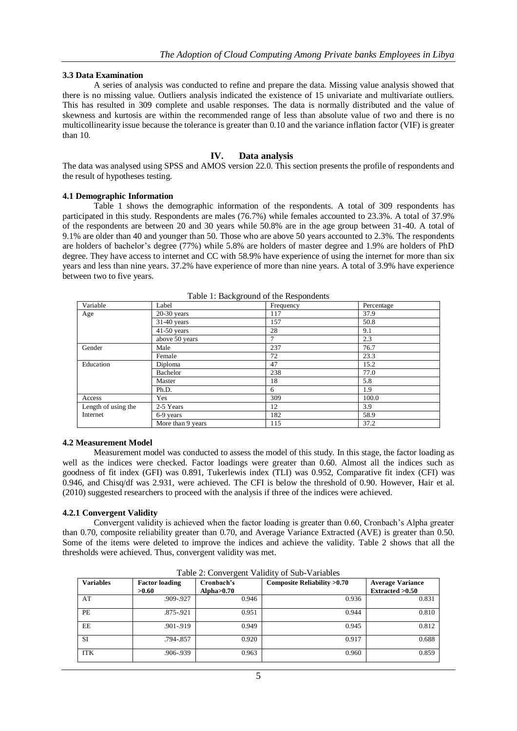## **3.3 Data Examination**

A series of analysis was conducted to refine and prepare the data. Missing value analysis showed that there is no missing value. Outliers analysis indicated the existence of 15 univariate and multivariate outliers. This has resulted in 309 complete and usable responses. The data is normally distributed and the value of skewness and kurtosis are within the recommended range of less than absolute value of two and there is no multicollinearity issue because the tolerance is greater than 0.10 and the variance inflation factor (VIF) is greater than 10.

#### **IV. Data analysis**

The data was analysed using SPSS and AMOS version 22.0. This section presents the profile of respondents and the result of hypotheses testing.

#### **4.1 Demographic Information**

Table 1 shows the demographic information of the respondents. A total of 309 respondents has participated in this study. Respondents are males (76.7%) while females accounted to 23.3%. A total of 37.9% of the respondents are between 20 and 30 years while 50.8% are in the age group between 31-40. A total of 9.1% are older than 40 and younger than 50. Those who are above 50 years accounted to 2.3%. The respondents are holders of bachelor's degree (77%) while 5.8% are holders of master degree and 1.9% are holders of PhD degree. They have access to internet and CC with 58.9% have experience of using the internet for more than six years and less than nine years. 37.2% have experience of more than nine years. A total of 3.9% have experience between two to five years.

| raore 1: Baenground of the respondents |                   |           |            |  |  |  |
|----------------------------------------|-------------------|-----------|------------|--|--|--|
| Variable                               | Label             | Frequency | Percentage |  |  |  |
| Age                                    | $20-30$ years     | 117       | 37.9       |  |  |  |
|                                        | $31-40$ years     | 157       | 50.8       |  |  |  |
|                                        | $41-50$ years     | 28        | 9.1        |  |  |  |
|                                        | above 50 years    |           | 2.3        |  |  |  |
| Gender                                 | Male              | 237       | 76.7       |  |  |  |
|                                        | Female            | 72        | 23.3       |  |  |  |
| Education                              | Diploma           | 47        | 15.2       |  |  |  |
|                                        | Bachelor          | 238       | 77.0       |  |  |  |
|                                        | Master            | 18        | 5.8        |  |  |  |
|                                        | Ph.D.             | 6         | 1.9        |  |  |  |
| Access                                 | Yes               | 309       | 100.0      |  |  |  |
| Length of using the                    | 2-5 Years         | 12        | 3.9        |  |  |  |
| Internet                               | 6-9 years         | 182       | 58.9       |  |  |  |
|                                        | More than 9 years | 115       | 37.2       |  |  |  |

Table 1: Background of the Respondents

#### **4.2 Measurement Model**

Measurement model was conducted to assess the model of this study. In this stage, the factor loading as well as the indices were checked. Factor loadings were greater than 0.60. Almost all the indices such as goodness of fit index (GFI) was 0.891, Tukerlewis index (TLI) was 0.952, Comparative fit index (CFI) was 0.946, and Chisq/df was 2.931, were achieved. The CFI is below the threshold of 0.90. However, Hair et al. (2010) suggested researchers to proceed with the analysis if three of the indices were achieved.

#### **4.2.1 Convergent Validity**

Convergent validity is achieved when the factor loading is greater than 0.60, Cronbach's Alpha greater than 0.70, composite reliability greater than 0.70, and Average Variance Extracted (AVE) is greater than 0.50. Some of the items were deleted to improve the indices and achieve the validity. Table 2 shows that all the thresholds were achieved. Thus, convergent validity was met.

| <b>Variables</b> | <b>Factor loading</b><br>>0.60 | Cronbach's<br>Alpha $>0.70$ | Composite Reliability >0.70 | <b>Average Variance</b><br>Extracted >0.50 |  |
|------------------|--------------------------------|-----------------------------|-----------------------------|--------------------------------------------|--|
| AT               | .909-.927                      | 0.946                       | 0.936                       | 0.831                                      |  |
| <b>PE</b>        | .875-.921                      | 0.951                       | 0.944                       | 0.810                                      |  |
| EE               | .901-.919                      | 0.949                       | 0.945                       | 0.812                                      |  |
| SI               | .794-.857                      | 0.920                       | 0.917                       | 0.688                                      |  |
| <b>ITK</b>       | .906-.939                      | 0.963                       | 0.960                       | 0.859                                      |  |

Table 2: Convergent Validity of Sub-Variables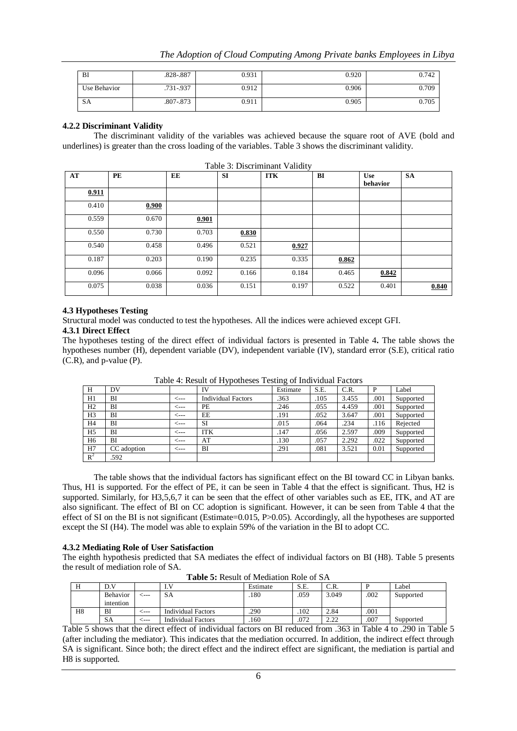| BI           | .828-.887     | 0.931 | 0.920 | 0.742 |
|--------------|---------------|-------|-------|-------|
| Use Behavior | $.731 - .937$ | 0.912 | 0.906 | 0.709 |
| SΑ           | .807-.873     | 0.911 | 0.905 | 0.705 |

# **4.2.2 Discriminant Validity**

The discriminant validity of the variables was achieved because the square root of AVE (bold and underlines) is greater than the cross loading of the variables. Table 3 shows the discriminant validity.

| AT    | PE    | EE    | <b>SI</b> | <b>ITK</b> | BI    | <b>Use</b><br>behavior | <b>SA</b> |
|-------|-------|-------|-----------|------------|-------|------------------------|-----------|
| 0.911 |       |       |           |            |       |                        |           |
| 0.410 | 0.900 |       |           |            |       |                        |           |
| 0.559 | 0.670 | 0.901 |           |            |       |                        |           |
| 0.550 | 0.730 | 0.703 | 0.830     |            |       |                        |           |
| 0.540 | 0.458 | 0.496 | 0.521     | 0.927      |       |                        |           |
| 0.187 | 0.203 | 0.190 | 0.235     | 0.335      | 0.862 |                        |           |
| 0.096 | 0.066 | 0.092 | 0.166     | 0.184      | 0.465 | 0.842                  |           |
| 0.075 | 0.038 | 0.036 | 0.151     | 0.197      | 0.522 | 0.401                  | 0.840     |

Table 3: Discriminant Validity

## **4.3 Hypotheses Testing**

Structural model was conducted to test the hypotheses. All the indices were achieved except GFI.

# **4.3.1 Direct Effect**

The hypotheses testing of the direct effect of individual factors is presented in Table 4**.** The table shows the hypotheses number (H), dependent variable (DV), independent variable (IV), standard error (S.E), critical ratio (C.R), and p-value (P).

| Н              | DV          |                | IV                        | ັ<br>Estimate | S.E. | C.R.  | P    | Label     |
|----------------|-------------|----------------|---------------------------|---------------|------|-------|------|-----------|
| H1             | ΒI          | <b>&lt;---</b> | <b>Individual Factors</b> | .363          | .105 | 3.455 | .001 | Supported |
| H <sub>2</sub> | ΒI          | <---           | PE                        | .246          | .055 | 4.459 | .001 | Supported |
| H <sub>3</sub> | BI          | $\leftarrow$   | EE                        | .191          | .052 | 3.647 | .001 | Supported |
| H4             | ΒI          | <---           | SI                        | .015          | .064 | .234  | .116 | Rejected  |
| H <sub>5</sub> | ВI          | <---           | ITK                       | .147          | .056 | 2.597 | .009 | Supported |
| H <sub>6</sub> | BI          | <---           | AT                        | .130          | .057 | 2.292 | .022 | Supported |
| H7             | CC adoption | <---           | BI                        | .291          | .081 | 3.521 | 0.01 | Supported |
| $R^2$          | .592        |                |                           |               |      |       |      |           |

Table 4: Result of Hypotheses Testing of Individual Factors

The table shows that the individual factors has significant effect on the BI toward CC in Libyan banks. Thus, H1 is supported. For the effect of PE, it can be seen in Table 4 that the effect is significant. Thus, H2 is supported. Similarly, for H3,5,6,7 it can be seen that the effect of other variables such as EE, ITK, and AT are also significant. The effect of BI on CC adoption is significant. However, it can be seen from Table 4 that the effect of SI on the BI is not significant (Estimate=0.015, P>0.05). Accordingly, all the hypotheses are supported except the SI (H4). The model was able to explain 59% of the variation in the BI to adopt CC.

#### **4.3.2 Mediating Role of User Satisfaction**

The eighth hypothesis predicted that SA mediates the effect of individual factors on BI (H8). Table 5 presents the result of mediation role of SA.

| TWARD OF INSURIE OF HIS GIRLOTT THOIS OF MET |                       |       |                           |          |      |       |      |           |  |
|----------------------------------------------|-----------------------|-------|---------------------------|----------|------|-------|------|-----------|--|
|                                              | D.V                   |       |                           | Estimate | S.E. | C.R.  |      | Label     |  |
|                                              | Behavior<br>intention | ----  | SА                        | 180      | .059 | 3.049 | .002 | Supported |  |
| H8                                           | ВI                    | ⊂---  | <b>Individual Factors</b> | .290     | .102 | 2.84  | .001 |           |  |
|                                              | SΑ                    | : --- | <b>Individual Factors</b> | .160     | .072 | 2.22  | .007 | Supported |  |

**Table 5:** Result of Mediation Role of SA

Table 5 shows that the direct effect of individual factors on BI reduced from .363 in Table 4 to .290 in Table 5 (after including the mediator). This indicates that the mediation occurred. In addition, the indirect effect through SA is significant. Since both; the direct effect and the indirect effect are significant, the mediation is partial and H8 is supported.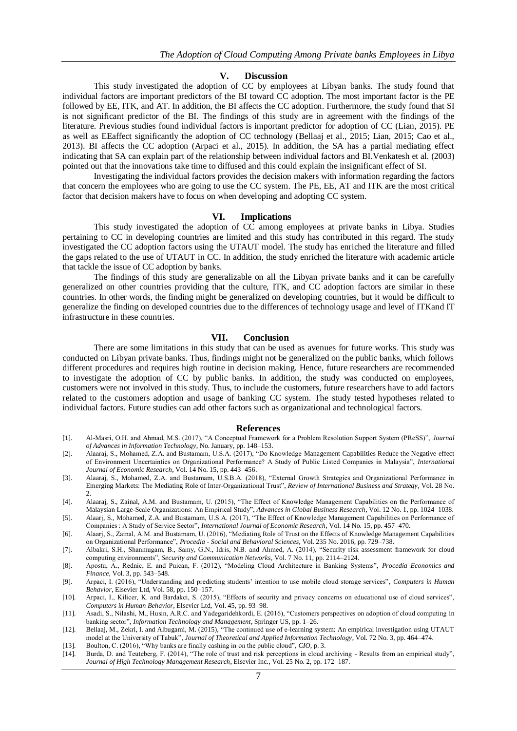#### **V. Discussion**

This study investigated the adoption of CC by employees at Libyan banks. The study found that individual factors are important predictors of the BI toward CC adoption. The most important factor is the PE followed by EE, ITK, and AT. In addition, the BI affects the CC adoption. Furthermore, the study found that SI is not significant predictor of the BI. The findings of this study are in agreement with the findings of the literature. Previous studies found individual factors is important predictor for adoption of CC (Lian, 2015). PE as well as EEaffect significantly the adoption of CC technology (Bellaaj et al., 2015; Lian, 2015; Cao et al., 2013). BI affects the CC adoption (Arpaci et al., 2015). In addition, the SA has a partial mediating effect indicating that SA can explain part of the relationship between individual factors and BI.Venkatesh et al. (2003) pointed out that the innovations take time to diffused and this could explain the insignificant effect of SI.

Investigating the individual factors provides the decision makers with information regarding the factors that concern the employees who are going to use the CC system. The PE, EE, AT and ITK are the most critical factor that decision makers have to focus on when developing and adopting CC system.

#### **VI. Implications**

This study investigated the adoption of CC among employees at private banks in Libya. Studies pertaining to CC in developing countries are limited and this study has contributed in this regard. The study investigated the CC adoption factors using the UTAUT model. The study has enriched the literature and filled the gaps related to the use of UTAUT in CC. In addition, the study enriched the literature with academic article that tackle the issue of CC adoption by banks.

The findings of this study are generalizable on all the Libyan private banks and it can be carefully generalized on other countries providing that the culture, ITK, and CC adoption factors are similar in these countries. In other words, the finding might be generalized on developing countries, but it would be difficult to generalize the finding on developed countries due to the differences of technology usage and level of ITKand IT infrastructure in these countries.

#### **VII. Conclusion**

There are some limitations in this study that can be used as avenues for future works. This study was conducted on Libyan private banks. Thus, findings might not be generalized on the public banks, which follows different procedures and requires high routine in decision making. Hence, future researchers are recommended to investigate the adoption of CC by public banks. In addition, the study was conducted on employees, customers were not involved in this study. Thus, to include the customers, future researchers have to add factors related to the customers adoption and usage of banking CC system. The study tested hypotheses related to individual factors. Future studies can add other factors such as organizational and technological factors.

#### **References**

- [1]. Al-Masri, O.H. and Ahmad, M.S. (2017), "A Conceptual Framework for a Problem Resolution Support System (PReSS)", *Journal of Advances in Information Technology*, No. January, pp. 148–153.
- [2]. Alaaraj, S., Mohamed, Z.A. and Bustamam, U.S.A. (2017), "Do Knowledge Management Capabilities Reduce the Negative effect of Environment Uncertainties on Organizational Performance? A Study of Public Listed Companies in Malaysia", *International Journal of Economic Research*, Vol. 14 No. 15, pp. 443–456.
- [3]. Alaaraj, S., Mohamed, Z.A. and Bustamam, U.S.B.A. (2018), "External Growth Strategies and Organizational Performance in Emerging Markets: The Mediating Role of Inter-Organizational Trust", *Review of International Business and Strategy*, Vol. 28 No. 2.
- [4]. Alaaraj, S., Zainal, A.M. and Bustamam, U. (2015), "The Effect of Knowledge Management Capabilities on the Performance of Malaysian Large-Scale Organizations: An Empirical Study", *Advances in Global Business Research*, Vol. 12 No. 1, pp. 1024–1038.
- [5]. Alaarj, S., Mohamed, Z.A. and Bustamam, U.S.A. (2017), "The Effect of Knowledge Management Capabilities on Performance of Companies : A Study of Service Sector", *International Journal of Economic Research*, Vol. 14 No. 15, pp. 457–470.
- [6]. Alaarj, S., Zainal, A.M. and Bustamam, U. (2016), "Mediating Role of Trust on the Effects of Knowledge Management Capabilities on Organizational Performance", *Procedia - Social and Behavioral Sciences*, Vol. 235 No. 2016, pp. 729–738.
- [7]. Albakri, S.H., Shanmugam, B., Samy, G.N., Idris, N.B. and Ahmed, A. (2014), "Security risk assessment framework for cloud computing environments", *Security and Communication Networks*, Vol. 7 No. 11, pp. 2114–2124.
- [8]. Apostu, A., Rednic, E. and Puican, F. (2012), "Modeling Cloud Architecture in Banking Systems", *Procedia Economics and Finance*, Vol. 3, pp. 543–548.
- [9]. Arpaci, I. (2016), "Understanding and predicting students' intention to use mobile cloud storage services", *Computers in Human Behavior*, Elsevier Ltd, Vol. 58, pp. 150–157.
- [10]. Arpaci, I., Kilicer, K. and Bardakci, S. (2015), "Effects of security and privacy concerns on educational use of cloud services", *Computers in Human Behavior*, Elsevier Ltd, Vol. 45, pp. 93–98.
- [11]. Asadi, S., Nilashi, M., Husin, A.R.C. and Yadegaridehkordi, E. (2016), "Customers perspectives on adoption of cloud computing in banking sector", *Information Technology and Management*, Springer US, pp. 1–26.
- [12]. Bellaaj, M., Zekri, I. and Albugami, M. (2015), "The continued use of e-learning system: An empirical investigation using UTAUT model at the University of Tabuk", *Journal of Theoretical and Applied Information Technology*, Vol. 72 No. 3, pp. 464–474.
- [13]. Boulton, C. (2016), "Why banks are finally cashing in on the public cloud", *CIO*, p. 3.
- [14]. Burda, D. and Teuteberg, F. (2014), "The role of trust and risk perceptions in cloud archiving Results from an empirical study", *Journal of High Technology Management Research*, Elsevier Inc., Vol. 25 No. 2, pp. 172–187.